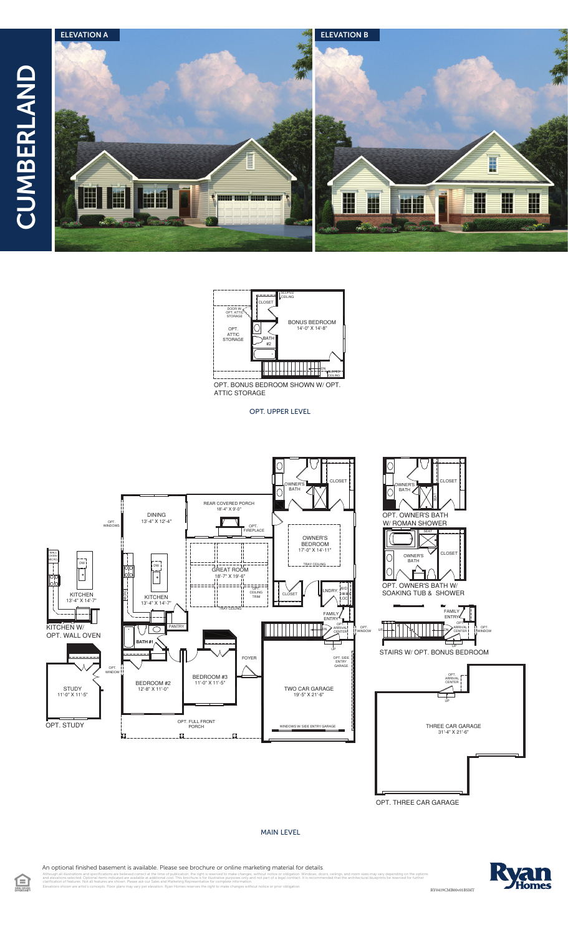



ATTIC STORAGE

OPT. UPPER LEVEL



OPT. THREE CAR GARAGE

## MAIN LEVEL

An optional finished basement is available. Please see brochure or online marketing material for details.

illustrations and specifications are believed correct at the time of publication, the right is reserved to make changes, without notice or obligation. Windows, doors, cellings, and room sizes may vary depending on the opti

Home RY0419CMB00v01BSMT



clarification of features. Not all features are shown. Please ask our Sales and Marketing Representative for complete information. Elevations shown are artist's concepts. Floor plans may vary per elevation. Ryan Homes reserves the right to make changes without notice or prior obligation.